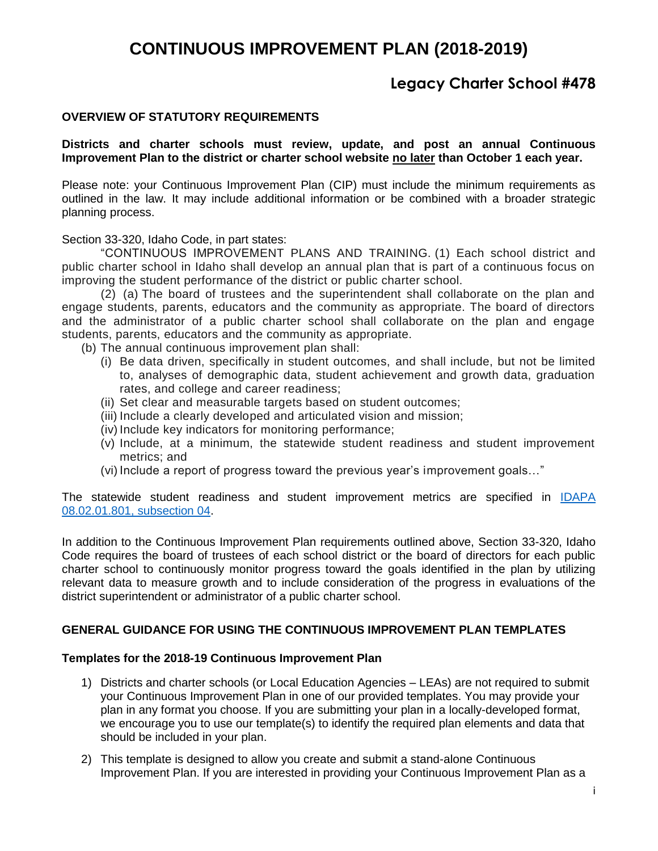## **Legacy Charter School #478**

#### **OVERVIEW OF STATUTORY REQUIREMENTS**

#### **Districts and charter schools must review, update, and post an annual Continuous Improvement Plan to the district or charter school website no later than October 1 each year.**

Please note: your Continuous Improvement Plan (CIP) must include the minimum requirements as outlined in the law. It may include additional information or be combined with a broader strategic planning process.

[Section 33-320,](https://legislature.idaho.gov/idstat/Title33/T33CH3SECT33-320.htm) Idaho Code, in part states:

"CONTINUOUS IMPROVEMENT PLANS AND TRAINING. (1) Each school district and public charter school in Idaho shall develop an annual plan that is part of a continuous focus on improving the student performance of the district or public charter school.

(2) (a) The board of trustees and the superintendent shall collaborate on the plan and engage students, parents, educators and the community as appropriate. The board of directors and the administrator of a public charter school shall collaborate on the plan and engage students, parents, educators and the community as appropriate.

- (b) The annual continuous improvement plan shall:
	- (i) Be data driven, specifically in student outcomes, and shall include, but not be limited to, analyses of demographic data, student achievement and growth data, graduation rates, and college and career readiness;
	- (ii) Set clear and measurable targets based on student outcomes;
	- (iii) Include a clearly developed and articulated vision and mission;
	- (iv) Include key indicators for monitoring performance;
	- (v) Include, at a minimum, the statewide student readiness and student improvement metrics; and
	- (vi) Include a report of progress toward the previous year's improvement goals…"

The statewide student readiness and student improvement metrics are specified in [IDAPA](https://adminrules.idaho.gov/rules/current/08/0201.pdf)  [08.02.01.801, subsection 04.](https://adminrules.idaho.gov/rules/current/08/0201.pdf)

In addition to the Continuous Improvement Plan requirements outlined above, Section 33-320, Idaho Code requires the board of trustees of each school district or the board of directors for each public charter school to continuously monitor progress toward the goals identified in the plan by utilizing relevant data to measure growth and to include consideration of the progress in evaluations of the district superintendent or administrator of a public charter school.

#### **GENERAL GUIDANCE FOR USING THE CONTINUOUS IMPROVEMENT PLAN TEMPLATES**

#### **Templates for the 2018-19 Continuous Improvement Plan**

- 1) Districts and charter schools (or Local Education Agencies LEAs) are not required to submit your Continuous Improvement Plan in one of our provided templates. You may provide your plan in any format you choose. If you are submitting your plan in a locally-developed format, we encourage you to use our template(s) to identify the required plan elements and data that should be included in your plan.
- 2) This template is designed to allow you create and submit a stand-alone Continuous Improvement Plan. If you are interested in providing your Continuous Improvement Plan as a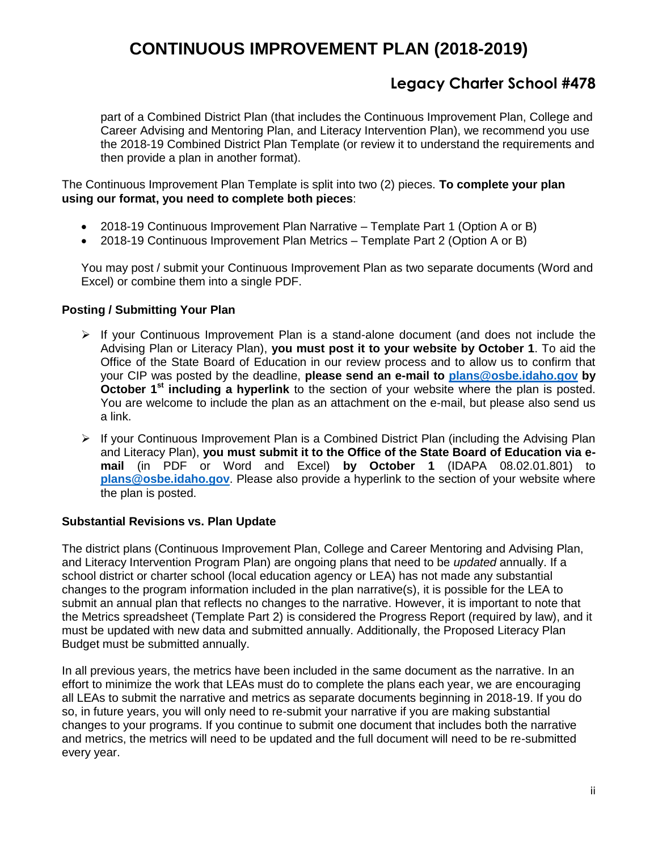## **Legacy Charter School #478**

part of a Combined District Plan (that includes the Continuous Improvement Plan, College and Career Advising and Mentoring Plan, and Literacy Intervention Plan), we recommend you use the 2018-19 Combined District Plan Template (or review it to understand the requirements and then provide a plan in another format).

The Continuous Improvement Plan Template is split into two (2) pieces. **To complete your plan using our format, you need to complete both pieces**:

- 2018-19 Continuous Improvement Plan Narrative Template Part 1 (Option A or B)
- 2018-19 Continuous Improvement Plan Metrics Template Part 2 (Option A or B)

You may post / submit your Continuous Improvement Plan as two separate documents (Word and Excel) or combine them into a single PDF.

### **Posting / Submitting Your Plan**

- $\triangleright$  If your Continuous Improvement Plan is a stand-alone document (and does not include the Advising Plan or Literacy Plan), **you must post it to your website by October 1**. To aid the Office of the State Board of Education in our review process and to allow us to confirm that your CIP was posted by the deadline, **please send an e-mail to [plans@osbe.idaho.gov](mailto:plans@osbe.idaho.gov) by October 1st including a hyperlink** to the section of your website where the plan is posted. You are welcome to include the plan as an attachment on the e-mail, but please also send us a link.
- $\triangleright$  If your Continuous Improvement Plan is a Combined District Plan (including the Advising Plan and Literacy Plan), **you must submit it to the Office of the State Board of Education via email** (in PDF or Word and Excel) **by October 1** (IDAPA 08.02.01.801) to **[plans@osbe.idaho.gov](mailto:plans@osbe.idaho.gov)**. Please also provide a hyperlink to the section of your website where the plan is posted.

### **Substantial Revisions vs. Plan Update**

The district plans (Continuous Improvement Plan, College and Career Mentoring and Advising Plan, and Literacy Intervention Program Plan) are ongoing plans that need to be *updated* annually. If a school district or charter school (local education agency or LEA) has not made any substantial changes to the program information included in the plan narrative(s), it is possible for the LEA to submit an annual plan that reflects no changes to the narrative. However, it is important to note that the Metrics spreadsheet (Template Part 2) is considered the Progress Report (required by law), and it must be updated with new data and submitted annually. Additionally, the Proposed Literacy Plan Budget must be submitted annually.

In all previous years, the metrics have been included in the same document as the narrative. In an effort to minimize the work that LEAs must do to complete the plans each year, we are encouraging all LEAs to submit the narrative and metrics as separate documents beginning in 2018-19. If you do so, in future years, you will only need to re-submit your narrative if you are making substantial changes to your programs. If you continue to submit one document that includes both the narrative and metrics, the metrics will need to be updated and the full document will need to be re-submitted every year.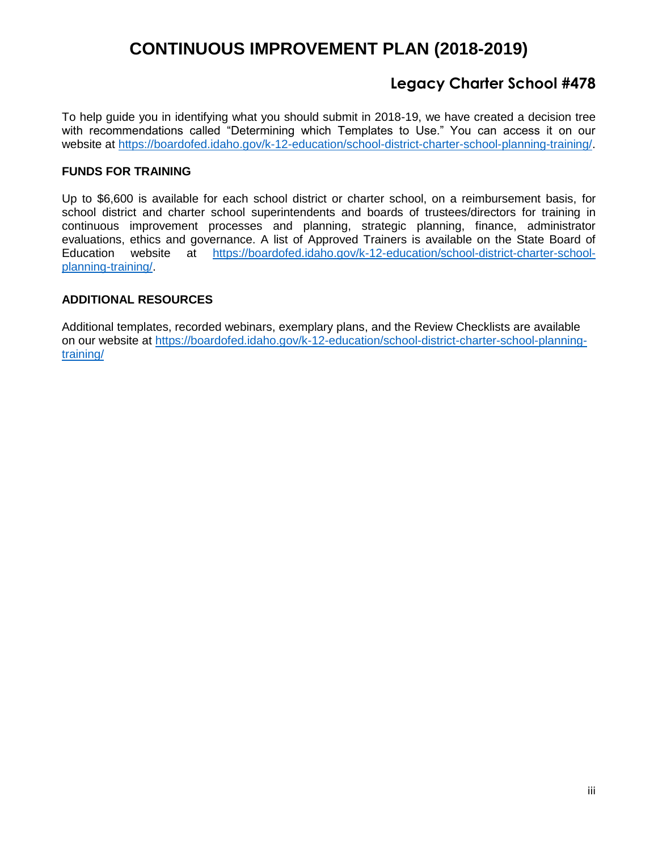## **Legacy Charter School #478**

To help guide you in identifying what you should submit in 2018-19, we have created a decision tree with recommendations called "Determining which Templates to Use." You can access it on our website at [https://boardofed.idaho.gov/k-12-education/school-district-charter-school-planning-training/.](https://boardofed.idaho.gov/k-12-education/school-district-charter-school-planning-training/)

### **FUNDS FOR TRAINING**

Up to \$6,600 is available for each school district or charter school, on a reimbursement basis, for school district and charter school superintendents and boards of trustees/directors for training in continuous improvement processes and planning, strategic planning, finance, administrator evaluations, ethics and governance. A list of Approved Trainers is available on the State Board of Education website at [https://boardofed.idaho.gov/k-12-education/school-district-charter-school](https://boardofed.idaho.gov/k-12-education/school-district-charter-school-planning-training/)[planning-training/.](https://boardofed.idaho.gov/k-12-education/school-district-charter-school-planning-training/)

### **ADDITIONAL RESOURCES**

Additional templates, recorded webinars, exemplary plans, and the Review Checklists are available on our website at [https://boardofed.idaho.gov/k-12-education/school-district-charter-school-planning](https://boardofed.idaho.gov/k-12-education/school-district-charter-school-planning-training/)[training/](https://boardofed.idaho.gov/k-12-education/school-district-charter-school-planning-training/)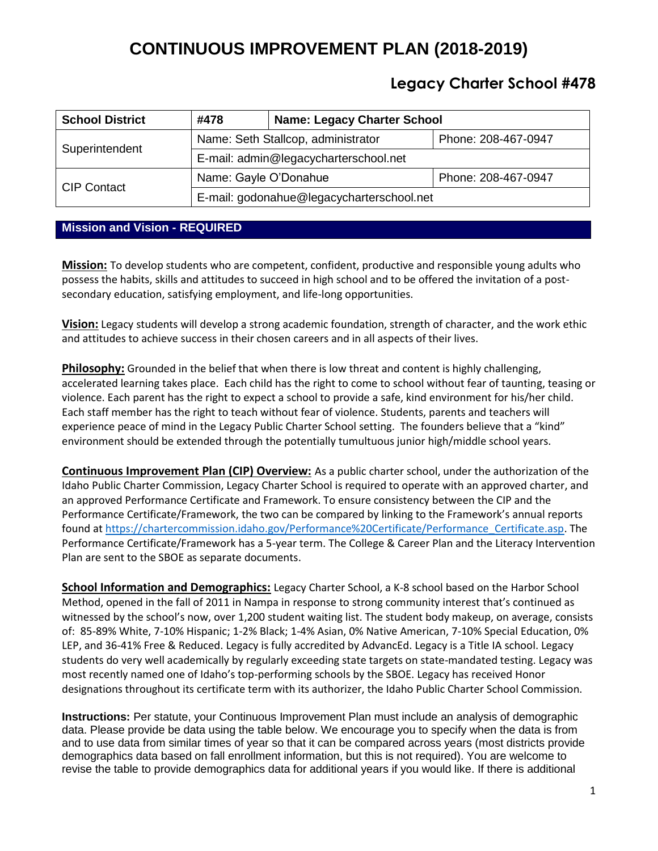## **Legacy Charter School #478**

| <b>School District</b> | #478                                      | <b>Name: Legacy Charter School</b> |                     |
|------------------------|-------------------------------------------|------------------------------------|---------------------|
| Superintendent         | Name: Seth Stallcop, administrator        |                                    | Phone: 208-467-0947 |
|                        | E-mail: admin@legacycharterschool.net     |                                    |                     |
| <b>CIP Contact</b>     | Name: Gayle O'Donahue                     |                                    | Phone: 208-467-0947 |
|                        | E-mail: godonahue@legacycharterschool.net |                                    |                     |

### **Mission and Vision - REQUIRED**

**Mission:** To develop students who are competent, confident, productive and responsible young adults who possess the habits, skills and attitudes to succeed in high school and to be offered the invitation of a postsecondary education, satisfying employment, and life-long opportunities.

**Vision:** Legacy students will develop a strong academic foundation, strength of character, and the work ethic and attitudes to achieve success in their chosen careers and in all aspects of their lives.

**Philosophy:** Grounded in the belief that when there is low threat and content is highly challenging, accelerated learning takes place. Each child has the right to come to school without fear of taunting, teasing or violence. Each parent has the right to expect a school to provide a safe, kind environment for his/her child. Each staff member has the right to teach without fear of violence. Students, parents and teachers will experience peace of mind in the Legacy Public Charter School setting. The founders believe that a "kind" environment should be extended through the potentially tumultuous junior high/middle school years.

**Continuous Improvement Plan (CIP) Overview:** As a public charter school, under the authorization of the Idaho Public Charter Commission, Legacy Charter School is required to operate with an approved charter, and an approved Performance Certificate and Framework. To ensure consistency between the CIP and the Performance Certificate/Framework, the two can be compared by linking to the Framework's annual reports found at [https://chartercommission.idaho.gov/Performance%20Certificate/Performance\\_Certificate.asp.](https://chartercommission.idaho.gov/Performance%20Certificate/Performance_Certificate.asp) The Performance Certificate/Framework has a 5-year term. The College & Career Plan and the Literacy Intervention Plan are sent to the SBOE as separate documents.

**School Information and Demographics:** Legacy Charter School, a K-8 school based on the Harbor School Method, opened in the fall of 2011 in Nampa in response to strong community interest that's continued as witnessed by the school's now, over 1,200 student waiting list. The student body makeup, on average, consists of: 85-89% White, 7-10% Hispanic; 1-2% Black; 1-4% Asian, 0% Native American, 7-10% Special Education, 0% LEP, and 36-41% Free & Reduced. Legacy is fully accredited by AdvancEd. Legacy is a Title IA school. Legacy students do very well academically by regularly exceeding state targets on state-mandated testing. Legacy was most recently named one of Idaho's top-performing schools by the SBOE. Legacy has received Honor designations throughout its certificate term with its authorizer, the Idaho Public Charter School Commission.

**Instructions:** Per statute, your Continuous Improvement Plan must include an analysis of demographic data. Please provide be data using the table below. We encourage you to specify when the data is from and to use data from similar times of year so that it can be compared across years (most districts provide demographics data based on fall enrollment information, but this is not required). You are welcome to revise the table to provide demographics data for additional years if you would like. If there is additional